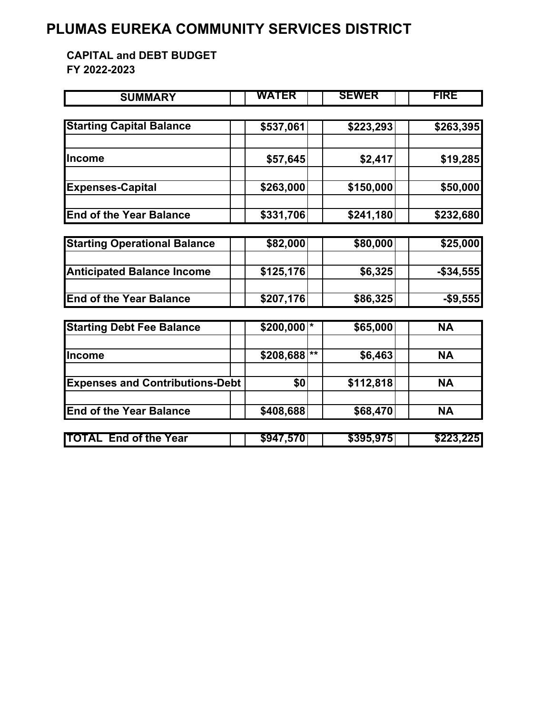## **PLUMAS EUREKA COMMUNITY SERVICES DISTRICT**

**CAPITAL and DEBT BUDGET FY 2022-2023**

| <b>SUMMARY</b>                         | WATER     |    | <b>SEWER</b> | <b>FIRE</b> |
|----------------------------------------|-----------|----|--------------|-------------|
|                                        |           |    |              |             |
| <b>Starting Capital Balance</b>        | \$537,061 |    | \$223,293    | \$263,395   |
|                                        |           |    |              |             |
| lIncome                                | \$57,645  |    | \$2,417      | \$19,285    |
| <b>Expenses-Capital</b>                | \$263,000 |    | \$150,000    | \$50,000    |
| <b>End of the Year Balance</b>         | \$331,706 |    | \$241,180    | \$232,680   |
|                                        |           |    |              |             |
| <b>Starting Operational Balance</b>    | \$82,000  |    | \$80,000     | \$25,000    |
| <b>Anticipated Balance Income</b>      | \$125,176 |    | \$6,325      | $-$34,555$  |
| <b>End of the Year Balance</b>         | \$207,176 |    | \$86,325     | $-$ \$9,555 |
| <b>Starting Debt Fee Balance</b>       | \$200,000 |    | \$65,000     | <b>NA</b>   |
| Income                                 | \$208,688 | ** | \$6,463      | <b>NA</b>   |
| <b>Expenses and Contributions-Debt</b> | \$0       |    | \$112,818    | <b>NA</b>   |
| <b>End of the Year Balance</b>         | \$408,688 |    | \$68,470     | <b>NA</b>   |
| <b>TOTAL End of the Year</b>           | \$947,570 |    | \$395,975    | \$223,225   |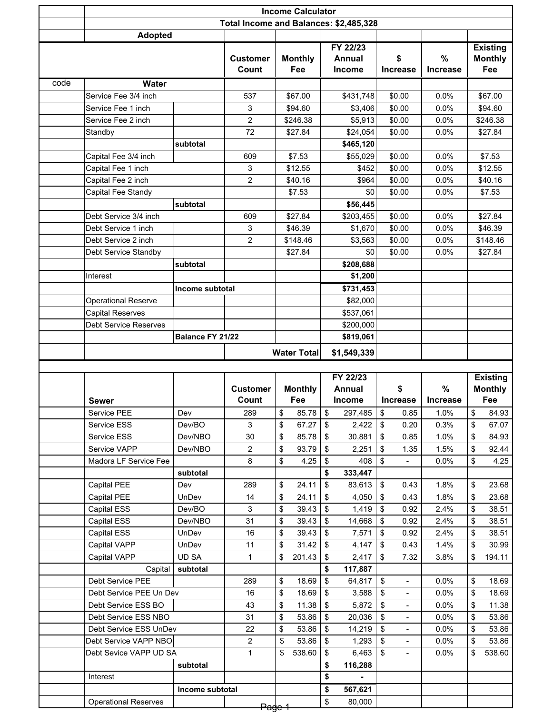|      |                                            |                  |                                        |                    |                   |                           | <b>Income Calculator</b> |                         |                              |                 |    |                   |  |  |  |
|------|--------------------------------------------|------------------|----------------------------------------|--------------------|-------------------|---------------------------|--------------------------|-------------------------|------------------------------|-----------------|----|-------------------|--|--|--|
|      |                                            |                  | Total Income and Balances: \$2,485,328 |                    |                   |                           |                          |                         |                              |                 |    |                   |  |  |  |
|      | <b>Adopted</b>                             |                  |                                        |                    |                   |                           |                          |                         |                              |                 |    |                   |  |  |  |
|      |                                            |                  |                                        |                    |                   |                           | FY 22/23                 |                         |                              |                 |    | <b>Existing</b>   |  |  |  |
|      |                                            |                  | <b>Customer</b>                        |                    | <b>Monthly</b>    |                           | <b>Annual</b>            | \$                      |                              | %               |    | <b>Monthly</b>    |  |  |  |
|      |                                            |                  | Count                                  |                    | Fee               |                           | <b>Income</b>            | <b>Increase</b>         |                              | <b>Increase</b> |    | Fee               |  |  |  |
| code | <b>Water</b>                               |                  |                                        |                    |                   |                           |                          |                         |                              |                 |    |                   |  |  |  |
|      | Service Fee 3/4 inch                       |                  | 537                                    |                    | \$67.00           |                           | \$431,748                | \$0.00                  |                              | 0.0%            |    | \$67.00           |  |  |  |
|      | Service Fee 1 inch                         |                  | 3                                      |                    | \$94.60           |                           | \$3,406                  | \$0.00                  |                              | 0.0%            |    | \$94.60           |  |  |  |
|      | Service Fee 2 inch                         |                  | 2                                      |                    | \$246.38          |                           | \$5,913                  | \$0.00                  |                              | 0.0%            |    | \$246.38          |  |  |  |
|      | Standby                                    |                  | 72                                     |                    | \$27.84           |                           | \$24,054                 | \$0.00                  |                              | 0.0%            |    | \$27.84           |  |  |  |
|      |                                            | subtotal         | 609                                    |                    |                   |                           | \$465,120                |                         |                              | 0.0%            |    |                   |  |  |  |
|      | Capital Fee 3/4 inch<br>Capital Fee 1 inch |                  | 3                                      |                    | \$7.53<br>\$12.55 |                           | \$55,029<br>\$452        | \$0.00<br>\$0.00        |                              | 0.0%            |    | \$7.53<br>\$12.55 |  |  |  |
|      | Capital Fee 2 inch                         |                  | 2                                      |                    | \$40.16           |                           | \$964                    | \$0.00                  |                              | 0.0%            |    | \$40.16           |  |  |  |
|      | Capital Fee Standy                         |                  |                                        |                    | \$7.53            |                           | \$0                      | \$0.00                  |                              | 0.0%            |    | \$7.53            |  |  |  |
|      |                                            | subtotal         |                                        |                    |                   |                           | \$56,445                 |                         |                              |                 |    |                   |  |  |  |
|      | Debt Service 3/4 inch                      |                  | 609                                    |                    | \$27.84           |                           | \$203,455                | \$0.00                  |                              | 0.0%            |    | \$27.84           |  |  |  |
|      | Debt Service 1 inch                        |                  | 3                                      |                    | \$46.39           |                           | \$1,670                  | \$0.00                  |                              | 0.0%            |    | \$46.39           |  |  |  |
|      | Debt Service 2 inch                        |                  | 2                                      |                    | \$148.46          |                           | \$3,563                  | \$0.00                  |                              | 0.0%            |    | \$148.46          |  |  |  |
|      | Debt Service Standby                       |                  |                                        |                    | \$27.84           |                           | \$0                      | \$0.00                  |                              | 0.0%            |    | \$27.84           |  |  |  |
|      |                                            | subtotal         |                                        |                    |                   |                           | \$208,688                |                         |                              |                 |    |                   |  |  |  |
|      | Interest                                   |                  |                                        |                    |                   |                           | \$1,200                  |                         |                              |                 |    |                   |  |  |  |
|      |                                            | Income subtotal  |                                        |                    |                   |                           | \$731,453                |                         |                              |                 |    |                   |  |  |  |
|      | <b>Operational Reserve</b>                 |                  |                                        |                    |                   |                           | \$82,000                 |                         |                              |                 |    |                   |  |  |  |
|      | <b>Capital Reserves</b>                    |                  |                                        |                    |                   |                           | \$537,061                |                         |                              |                 |    |                   |  |  |  |
|      | <b>Debt Service Reserves</b>               |                  |                                        |                    |                   |                           | \$200,000                |                         |                              |                 |    |                   |  |  |  |
|      |                                            | Balance FY 21/22 |                                        |                    |                   |                           | \$819,061                |                         |                              |                 |    |                   |  |  |  |
|      |                                            |                  |                                        | <b>Water Total</b> |                   | \$1,549,339               |                          |                         |                              |                 |    |                   |  |  |  |
|      |                                            |                  |                                        |                    |                   |                           |                          |                         |                              |                 |    |                   |  |  |  |
|      |                                            |                  |                                        |                    |                   |                           |                          |                         |                              |                 |    |                   |  |  |  |
|      |                                            |                  |                                        |                    |                   |                           | FY 22/23                 |                         |                              |                 |    | <b>Existing</b>   |  |  |  |
|      |                                            |                  | <b>Customer</b>                        |                    | <b>Monthly</b>    |                           | <b>Annual</b>            | \$                      |                              | %               |    | <b>Monthly</b>    |  |  |  |
|      | Sewer                                      |                  | Count                                  |                    | Fee               |                           | <b>Income</b>            | Increase                |                              | <b>Increase</b> |    | Fee               |  |  |  |
|      | Service PEE                                | Dev              | 289                                    | \$                 | 85.78             | \$                        | 297,485                  | \$                      | 0.85                         | 1.0%            | \$ | 84.93             |  |  |  |
|      | Service ESS                                | Dev/BO           | 3                                      | \$                 | 67.27             | \$                        | 2,422                    | \$                      | 0.20                         | 0.3%            | \$ | 67.07             |  |  |  |
|      | Service ESS                                | Dev/NBO          | 30                                     | \$                 | 85.78             | $\boldsymbol{\mathsf{S}}$ | 30,881                   | \$                      | 0.85                         | 1.0%            | \$ | 84.93             |  |  |  |
|      | Service VAPP                               | Dev/NBO          | 2                                      | \$                 | 93.79             | \$                        | 2,251                    | \$                      | 1.35                         | 1.5%            | \$ | 92.44             |  |  |  |
|      | Madora LF Service Fee                      |                  | 8                                      | \$                 | 4.25              | \$                        | 408                      | \$                      |                              | 0.0%            | \$ | 4.25              |  |  |  |
|      |                                            | subtotal         |                                        |                    |                   | \$                        | 333,447                  |                         |                              |                 |    |                   |  |  |  |
|      | Capital PEE                                | Dev              | 289                                    | \$                 | 24.11             | \$                        | 83,613                   | \$                      | 0.43                         | 1.8%            | \$ | 23.68             |  |  |  |
|      | Capital PEE                                | UnDev            | 14                                     | \$                 | 24.11             | \$                        | 4.050                    | \$                      | 0.43                         | 1.8%            | \$ | 23.68             |  |  |  |
|      | Capital ESS                                | Dev/BO           | 3                                      | \$                 | 39.43             | \$                        | 1,419                    | \$                      | 0.92                         | 2.4%            | \$ | 38.51             |  |  |  |
|      | Capital ESS                                | Dev/NBO          | 31                                     | \$                 | 39.43             | \$                        | 14,668                   | \$                      | 0.92                         | 2.4%            | \$ | 38.51             |  |  |  |
|      | Capital ESS                                | UnDev            | 16                                     | \$                 | 39.43             | \$                        | 7,571                    | \$                      | 0.92                         | 2.4%            | \$ | 38.51             |  |  |  |
|      | Capital VAPP                               | UnDev            | 11                                     | \$                 | 31.42             | \$                        | 4,147                    | \$                      | 0.43                         | 1.4%            | \$ | 30.99             |  |  |  |
|      | Capital VAPP                               | UD SA            | 1                                      | \$                 | 201.43            | \$                        | 2,417                    | \$                      | 7.32                         | 3.8%            | \$ | 194.11            |  |  |  |
|      | Capital<br>Debt Service PEE                | subtotal         | 289                                    | \$                 | 18.69             | \$<br>\$                  | 117,887<br>64,817        | \$                      | $\overline{\phantom{a}}$     | 0.0%            | \$ | 18.69             |  |  |  |
|      | Debt Service PEE Un Dev                    |                  | 16                                     | \$                 | 18.69             | \$                        | 3,588                    | $\sqrt[6]{\frac{1}{2}}$ | $\blacksquare$               | 0.0%            | \$ | 18.69             |  |  |  |
|      | Debt Service ESS BO                        |                  | 43                                     | \$                 | 11.38             | \$                        | 5,872                    | \$                      | $\blacksquare$               | 0.0%            | \$ | 11.38             |  |  |  |
|      | Debt Service ESS NBO                       |                  | 31                                     | \$                 | 53.86             | \$                        | 20,036                   | \$                      | $\qquad \qquad \blacksquare$ | 0.0%            | \$ | 53.86             |  |  |  |
|      | Debt Service ESS UnDev                     |                  | 22                                     | \$                 | 53.86             | \$                        | 14,219                   | \$                      | $\blacksquare$               | 0.0%            | \$ | 53.86             |  |  |  |
|      | Debt Service VAPP NBO                      |                  | $\overline{c}$                         | \$                 | 53.86             | \$                        | 1,293                    | \$                      | $\blacksquare$               | 0.0%            | \$ | 53.86             |  |  |  |
|      | Debt Sevice VAPP UD SA                     |                  | 1                                      | \$                 | 538.60            | \$                        | 6,463                    | \$                      | $\overline{\phantom{a}}$     | 0.0%            | \$ | 538.60            |  |  |  |
|      |                                            | subtotal         |                                        |                    |                   | \$                        | 116,288                  |                         |                              |                 |    |                   |  |  |  |
|      | Interest                                   |                  |                                        |                    |                   | \$                        |                          |                         |                              |                 |    |                   |  |  |  |
|      | <b>Operational Reserves</b>                | Income subtotal  |                                        |                    |                   | \$<br>\$                  | 567,621<br>80,000        |                         |                              |                 |    |                   |  |  |  |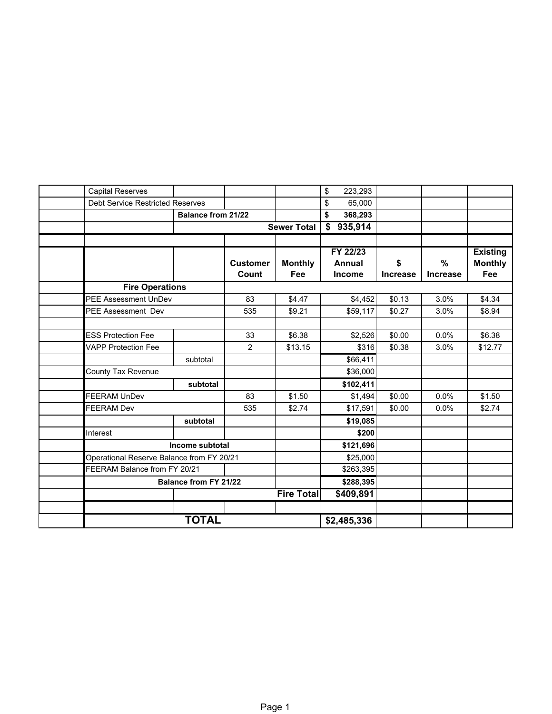| <b>Capital Reserves</b>                   |                              |                 |                    | \$<br>223,293 |                 |                 |                 |
|-------------------------------------------|------------------------------|-----------------|--------------------|---------------|-----------------|-----------------|-----------------|
| <b>Debt Service Restricted Reserves</b>   |                              |                 |                    | \$<br>65,000  |                 |                 |                 |
|                                           | <b>Balance from 21/22</b>    |                 |                    | \$<br>368,293 |                 |                 |                 |
|                                           |                              |                 | <b>Sewer Total</b> | 935,914<br>\$ |                 |                 |                 |
|                                           |                              |                 |                    |               |                 |                 |                 |
|                                           |                              |                 |                    | FY 22/23      |                 |                 | <b>Existing</b> |
|                                           |                              | <b>Customer</b> | <b>Monthly</b>     | Annual        | \$              | $\%$            | <b>Monthly</b>  |
|                                           |                              | Count           | Fee                | <b>Income</b> | <b>Increase</b> | <b>Increase</b> | Fee             |
| <b>Fire Operations</b>                    |                              |                 |                    |               |                 |                 |                 |
| <b>PEE Assessment UnDev</b>               |                              | 83              | \$4.47             | \$4,452       | \$0.13          | 3.0%            | \$4.34          |
| <b>PEE Assessment Dev</b>                 |                              | 535             | \$9.21             | \$59,117      | \$0.27          | 3.0%            | \$8.94          |
|                                           |                              |                 |                    |               |                 |                 |                 |
| <b>ESS Protection Fee</b>                 |                              | 33              | \$6.38             | \$2,526       | \$0.00          | 0.0%            | \$6.38          |
| <b>VAPP Protection Fee</b>                |                              | 2               | \$13.15            | \$316         | \$0.38          | 3.0%            | \$12.77         |
|                                           | subtotal                     |                 |                    | \$66,411      |                 |                 |                 |
| <b>County Tax Revenue</b>                 |                              |                 |                    | \$36,000      |                 |                 |                 |
|                                           | subtotal                     |                 |                    | \$102,411     |                 |                 |                 |
| <b>FEERAM UnDev</b>                       |                              | 83              | \$1.50             | \$1,494       | \$0.00          | 0.0%            | \$1.50          |
| <b>FEERAM Dev</b>                         |                              | 535             | \$2.74             | \$17,591      | \$0.00          | 0.0%            | \$2.74          |
|                                           | subtotal                     |                 |                    | \$19,085      |                 |                 |                 |
| Interest                                  |                              |                 |                    | \$200         |                 |                 |                 |
|                                           | Income subtotal              |                 |                    | \$121,696     |                 |                 |                 |
| Operational Reserve Balance from FY 20/21 |                              |                 |                    | \$25,000      |                 |                 |                 |
| FEERAM Balance from FY 20/21              |                              |                 |                    | \$263,395     |                 |                 |                 |
|                                           | <b>Balance from FY 21/22</b> |                 |                    | \$288,395     |                 |                 |                 |
|                                           |                              |                 | <b>Fire Total</b>  | \$409,891     |                 |                 |                 |
|                                           |                              |                 |                    |               |                 |                 |                 |
|                                           | <b>TOTAL</b>                 |                 |                    | \$2,485,336   |                 |                 |                 |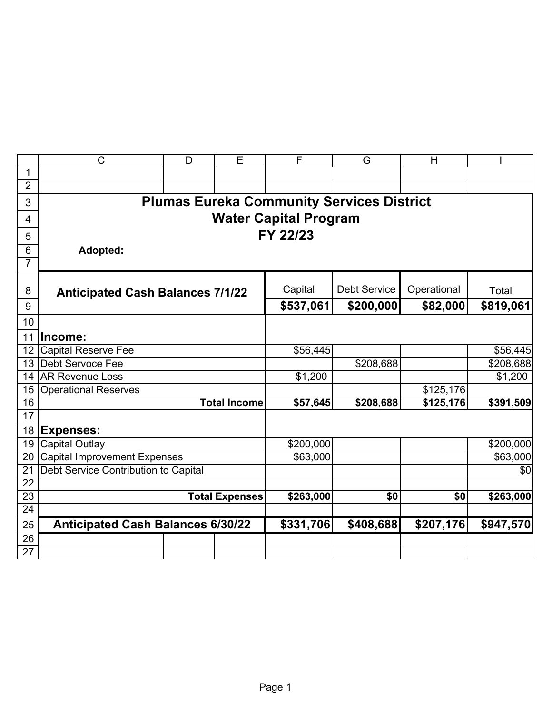|                  | $\mathsf{C}$                                     | D | E                     | F         | G            | H           |           |  |  |  |  |  |
|------------------|--------------------------------------------------|---|-----------------------|-----------|--------------|-------------|-----------|--|--|--|--|--|
| 1                |                                                  |   |                       |           |              |             |           |  |  |  |  |  |
| $\overline{2}$   |                                                  |   |                       |           |              |             |           |  |  |  |  |  |
| 3                | <b>Plumas Eureka Community Services District</b> |   |                       |           |              |             |           |  |  |  |  |  |
| 4                | <b>Water Capital Program</b>                     |   |                       |           |              |             |           |  |  |  |  |  |
| 5                |                                                  |   |                       | FY 22/23  |              |             |           |  |  |  |  |  |
| $6\phantom{1}$   | Adopted:                                         |   |                       |           |              |             |           |  |  |  |  |  |
| $\overline{7}$   |                                                  |   |                       |           |              |             |           |  |  |  |  |  |
|                  |                                                  |   |                       |           |              |             |           |  |  |  |  |  |
| 8                | <b>Anticipated Cash Balances 7/1/22</b>          |   |                       | Capital   | Debt Service | Operational | Total     |  |  |  |  |  |
| 9                |                                                  |   |                       | \$537,061 | \$200,000    | \$82,000    | \$819,061 |  |  |  |  |  |
| 10               |                                                  |   |                       |           |              |             |           |  |  |  |  |  |
| 11               | Income:                                          |   |                       |           |              |             |           |  |  |  |  |  |
| 12 <sup>12</sup> | <b>Capital Reserve Fee</b>                       |   |                       | \$56,445  |              |             | \$56,445  |  |  |  |  |  |
| 13 <sup>°</sup>  | <b>Debt Servoce Fee</b>                          |   |                       |           | \$208,688    |             | \$208,688 |  |  |  |  |  |
| 14               | <b>AR Revenue Loss</b>                           |   |                       | \$1,200   |              |             | \$1,200   |  |  |  |  |  |
| 15               | <b>Operational Reserves</b>                      |   |                       |           |              | \$125,176   |           |  |  |  |  |  |
| 16               |                                                  |   | <b>Total Income</b>   | \$57,645  | \$208,688    | \$125,176   | \$391,509 |  |  |  |  |  |
| 17               |                                                  |   |                       |           |              |             |           |  |  |  |  |  |
| 18               | <b>Expenses:</b>                                 |   |                       |           |              |             |           |  |  |  |  |  |
| 19               | <b>Capital Outlay</b>                            |   |                       | \$200,000 |              |             | \$200,000 |  |  |  |  |  |
| 20               | <b>Capital Improvement Expenses</b>              |   |                       | \$63,000  |              |             | \$63,000  |  |  |  |  |  |
| 21               | Debt Service Contribution to Capital             |   |                       |           |              |             | \$0       |  |  |  |  |  |
| $\overline{22}$  |                                                  |   |                       |           |              |             |           |  |  |  |  |  |
| 23               |                                                  |   | <b>Total Expenses</b> | \$263,000 | \$0          | \$0         | \$263,000 |  |  |  |  |  |
| $\overline{24}$  |                                                  |   |                       |           |              |             |           |  |  |  |  |  |
| 25               | <b>Anticipated Cash Balances 6/30/22</b>         |   |                       | \$331,706 | \$408,688    | \$207,176   | \$947,570 |  |  |  |  |  |
| $\overline{26}$  |                                                  |   |                       |           |              |             |           |  |  |  |  |  |
| $\overline{27}$  |                                                  |   |                       |           |              |             |           |  |  |  |  |  |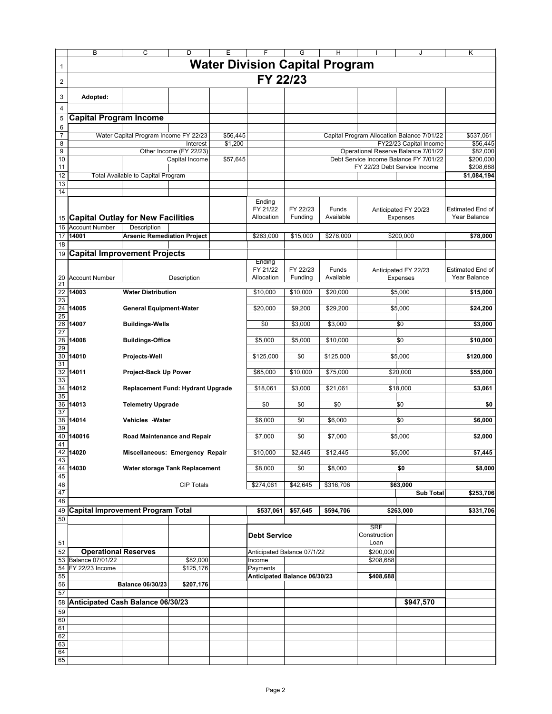|                | B                                        | C                                     | D                       | Е                   | F                                        | G                   | н                  |                                    | J                                                                    | Κ                                       |
|----------------|------------------------------------------|---------------------------------------|-------------------------|---------------------|------------------------------------------|---------------------|--------------------|------------------------------------|----------------------------------------------------------------------|-----------------------------------------|
| $\mathbf{1}$   |                                          |                                       |                         |                     | <b>Water Division Capital Program</b>    |                     |                    |                                    |                                                                      |                                         |
| $\overline{c}$ |                                          |                                       |                         |                     | FY 22/23                                 |                     |                    |                                    |                                                                      |                                         |
| 3              | Adopted:                                 |                                       |                         |                     |                                          |                     |                    |                                    |                                                                      |                                         |
| 4              |                                          |                                       |                         |                     |                                          |                     |                    |                                    |                                                                      |                                         |
| 5              | <b>Capital Program Income</b>            |                                       |                         |                     |                                          |                     |                    |                                    |                                                                      |                                         |
| 6              |                                          |                                       |                         |                     |                                          |                     |                    |                                    |                                                                      |                                         |
| 7<br>8         |                                          | Water Capital Program Income FY 22/23 | Interest                | \$56,445<br>\$1,200 |                                          |                     |                    |                                    | Capital Program Allocation Balance 7/01/22<br>FY22/23 Capital Income | \$537,061<br>\$56.445                   |
| 9              |                                          |                                       | Other Income (FY 22/23) |                     |                                          |                     |                    |                                    | Operational Reserve Balance 7/01/22                                  | \$82,000                                |
| 10             |                                          |                                       | Capital Income          | \$57,645            |                                          |                     |                    |                                    | Debt Service Income Balance FY 7/01/22                               | \$200,000                               |
| 11<br>12       |                                          | Total Available to Capital Program    |                         |                     |                                          |                     |                    |                                    | FY 22/23 Debt Service Income                                         | \$208,688<br>\$1,084,194                |
| 13             |                                          |                                       |                         |                     |                                          |                     |                    |                                    |                                                                      |                                         |
| 14             |                                          |                                       |                         |                     |                                          |                     |                    |                                    |                                                                      |                                         |
|                |                                          |                                       |                         |                     | Ending<br>FY 21/22                       | FY 22/23            | Funds              |                                    | Anticipated FY 20/23                                                 | <b>Estimated End of</b>                 |
|                | 15 Capital Outlay for New Facilities     |                                       |                         |                     | Allocation                               | Funding             | Available          |                                    | <b>Expenses</b>                                                      | Year Balance                            |
| 16             | <b>Account Number</b>                    |                                       |                         |                     |                                          |                     |                    |                                    |                                                                      |                                         |
| 17<br>18       | 14001                                    | <b>Arsenic Remediation Project</b>    |                         |                     | \$263,000                                | \$15,000            | \$278,000          |                                    | \$200,000                                                            | \$78,000                                |
| 19             | <b>Capital Improvement Projects</b>      |                                       |                         |                     |                                          |                     |                    |                                    |                                                                      |                                         |
|                |                                          |                                       |                         |                     | Ending                                   |                     |                    |                                    |                                                                      |                                         |
| 20<br>21       | <b>Account Number</b>                    |                                       | Description             |                     | FY 21/22<br>Allocation                   | FY 22/23<br>Funding | Funds<br>Available |                                    | Anticipated FY 22/23<br><b>Expenses</b>                              | <b>Estimated End of</b><br>Year Balance |
| 22             | 14003                                    | <b>Water Distribution</b>             |                         |                     | \$10,000                                 | \$10,000            | \$20,000           |                                    | \$5,000                                                              | \$15,000                                |
| 23<br>24<br>25 | 14005                                    | <b>General Equipment-Water</b>        |                         |                     | \$20,000                                 | \$9,200             | \$29,200           |                                    | \$5,000                                                              | \$24,200                                |
| 26<br>27       | 14007                                    | <b>Buildings-Wells</b>                |                         |                     | \$0                                      | \$3,000             | \$3,000            |                                    | \$0                                                                  | \$3,000                                 |
| 28<br>29       | 14008                                    | <b>Buildings-Office</b>               |                         |                     | \$5,000                                  | \$5,000             | \$10,000           |                                    | \$0                                                                  | \$10,000                                |
| 30<br>31       | 14010                                    | Projects-Well                         |                         |                     | \$125,000                                | \$0                 | \$125,000          |                                    | \$5,000                                                              | \$120,000                               |
| 32<br>33       | 14011                                    | Project-Back Up Power                 |                         |                     | \$65,000                                 | \$10,000            | \$75,000           |                                    | \$20,000                                                             | \$55,000                                |
| 34<br>35       | 14012                                    | Replacement Fund: Hydrant Upgrade     |                         |                     | \$18,061                                 | \$3,000             | \$21,061           |                                    | \$18,000                                                             | \$3,061                                 |
| 36<br>37       | 14013                                    | <b>Telemetry Upgrade</b>              |                         |                     | \$0                                      | \$0                 | \$0                |                                    | \$0                                                                  | \$0                                     |
| 38<br>39       | 14014                                    | <b>Vehicles - Water</b>               |                         |                     | \$6,000                                  | \$0                 | \$6,000            |                                    | \$0                                                                  | \$6,000                                 |
| 40<br>41       | 140016                                   | <b>Road Maintenance and Repair</b>    |                         |                     | \$7,000                                  | \$0                 | \$7,000            |                                    | \$5,000                                                              | \$2,000                                 |
| 43             | 42 14020                                 | Miscellaneous: Emergency Repair       |                         |                     | \$10,000                                 | \$2,445             | \$12,445           |                                    | \$5,000                                                              | \$7,445                                 |
| 45             | 44 14030                                 | Water storage Tank Replacement        |                         |                     | \$8,000                                  | \$0                 | \$8,000            |                                    | \$0                                                                  | \$8,000                                 |
| 46             |                                          |                                       | <b>CIP Totals</b>       |                     | \$274,061                                | \$42,645            | \$316,706          |                                    | \$63,000                                                             |                                         |
| 47             |                                          |                                       |                         |                     |                                          |                     |                    |                                    | <b>Sub Total</b>                                                     | \$253,706                               |
| 48<br>49       | <b>Capital Improvement Program Total</b> |                                       |                         |                     | \$537,061                                | \$57,645            | \$594,706          |                                    | \$263,000                                                            | \$331,706                               |
| 50             |                                          |                                       |                         |                     |                                          |                     |                    |                                    |                                                                      |                                         |
| 51             |                                          |                                       |                         |                     | <b>Debt Service</b>                      |                     |                    | <b>SRF</b><br>Construction<br>Loan |                                                                      |                                         |
| 52             | <b>Operational Reserves</b>              |                                       |                         |                     | Anticipated Balance 07/1/22              |                     |                    | \$200,000                          |                                                                      |                                         |
|                | 53 Balance 07/01/22                      |                                       | \$82,000                |                     | Income                                   |                     |                    | \$208,688                          |                                                                      |                                         |
| 54<br>55       | FY 22/23 Income                          |                                       | \$125,176               |                     | Payments<br>Anticipated Balance 06/30/23 |                     |                    | \$408,688                          |                                                                      |                                         |
| 56             | <b>Balance 06/30/23</b><br>\$207,176     |                                       |                         |                     |                                          |                     |                    |                                    |                                                                      |                                         |
| 57             |                                          |                                       |                         |                     |                                          |                     |                    |                                    |                                                                      |                                         |
| 58<br>59       | Anticipated Cash Balance 06/30/23        |                                       |                         |                     |                                          |                     |                    |                                    | \$947,570                                                            |                                         |
| 60             |                                          |                                       |                         |                     |                                          |                     |                    |                                    |                                                                      |                                         |
| 61             |                                          |                                       |                         |                     |                                          |                     |                    |                                    |                                                                      |                                         |
| 62<br>63       |                                          |                                       |                         |                     |                                          |                     |                    |                                    |                                                                      |                                         |
| 64             |                                          |                                       |                         |                     |                                          |                     |                    |                                    |                                                                      |                                         |
| 65             |                                          |                                       |                         |                     |                                          |                     |                    |                                    |                                                                      |                                         |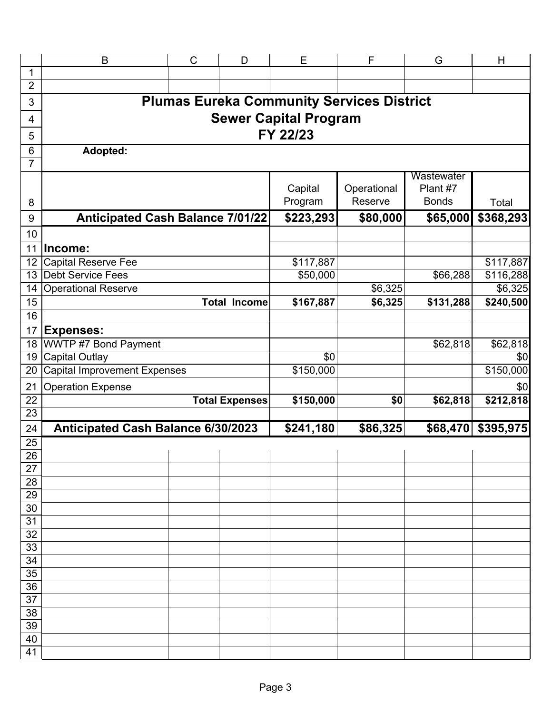|                 | B                                                                                         | $\mathsf C$ | D                     | E                            | F                                                | G          | H                  |  |  |  |  |  |  |
|-----------------|-------------------------------------------------------------------------------------------|-------------|-----------------------|------------------------------|--------------------------------------------------|------------|--------------------|--|--|--|--|--|--|
| $\mathbf{1}$    |                                                                                           |             |                       |                              |                                                  |            |                    |  |  |  |  |  |  |
| $\overline{2}$  |                                                                                           |             |                       |                              |                                                  |            |                    |  |  |  |  |  |  |
| $\mathfrak{S}$  |                                                                                           |             |                       |                              | <b>Plumas Eureka Community Services District</b> |            |                    |  |  |  |  |  |  |
| 4               |                                                                                           |             |                       | <b>Sewer Capital Program</b> |                                                  |            |                    |  |  |  |  |  |  |
| 5               |                                                                                           |             |                       | FY 22/23                     |                                                  |            |                    |  |  |  |  |  |  |
| $6\phantom{1}6$ | Adopted:                                                                                  |             |                       |                              |                                                  |            |                    |  |  |  |  |  |  |
| $\overline{7}$  |                                                                                           |             |                       |                              |                                                  |            |                    |  |  |  |  |  |  |
|                 |                                                                                           |             |                       |                              |                                                  | Wastewater |                    |  |  |  |  |  |  |
|                 |                                                                                           |             |                       | Capital                      | Operational                                      | Plant #7   |                    |  |  |  |  |  |  |
| 8               | Reserve<br><b>Bonds</b><br>Program<br>Total                                               |             |                       |                              |                                                  |            |                    |  |  |  |  |  |  |
| 9               | \$223,293<br>\$368,293<br><b>Anticipated Cash Balance 7/01/22</b><br>\$80,000<br>\$65,000 |             |                       |                              |                                                  |            |                    |  |  |  |  |  |  |
| 10              |                                                                                           |             |                       |                              |                                                  |            |                    |  |  |  |  |  |  |
| 11              | Income:                                                                                   |             |                       |                              |                                                  |            |                    |  |  |  |  |  |  |
| 12              | <b>Capital Reserve Fee</b>                                                                |             |                       | \$117,887                    |                                                  |            | \$117,887          |  |  |  |  |  |  |
| 13              | <b>Debt Service Fees</b>                                                                  |             |                       | \$50,000                     |                                                  | \$66,288   | \$116,288          |  |  |  |  |  |  |
| 14              | <b>Operational Reserve</b>                                                                |             |                       |                              | \$6,325                                          |            | \$6,325            |  |  |  |  |  |  |
| 15              |                                                                                           |             | <b>Total Income</b>   | \$167,887                    | \$6,325                                          | \$131,288  | \$240,500          |  |  |  |  |  |  |
| 16              |                                                                                           |             |                       |                              |                                                  |            |                    |  |  |  |  |  |  |
| 17              | <b>Expenses:</b>                                                                          |             |                       |                              |                                                  |            |                    |  |  |  |  |  |  |
| 18              | WWTP #7 Bond Payment                                                                      |             |                       |                              |                                                  | \$62,818   | \$62,818           |  |  |  |  |  |  |
| 19              | <b>Capital Outlay</b>                                                                     |             |                       | \$0                          |                                                  |            | \$0                |  |  |  |  |  |  |
| 20              | <b>Capital Improvement Expenses</b>                                                       |             |                       | \$150,000                    |                                                  |            | \$150,000          |  |  |  |  |  |  |
| 21              | <b>Operation Expense</b>                                                                  |             |                       |                              |                                                  |            | \$0                |  |  |  |  |  |  |
| $\overline{22}$ |                                                                                           |             | <b>Total Expenses</b> | \$150,000                    | \$0                                              | \$62,818   | \$212,818          |  |  |  |  |  |  |
| $\overline{23}$ |                                                                                           |             |                       |                              |                                                  |            |                    |  |  |  |  |  |  |
| 24              | Anticipated Cash Balance 6/30/2023                                                        |             |                       | \$241,180                    | \$86,325                                         |            | \$68,470 \$395,975 |  |  |  |  |  |  |
| 25              |                                                                                           |             |                       |                              |                                                  |            |                    |  |  |  |  |  |  |
| $\overline{26}$ |                                                                                           |             |                       |                              |                                                  |            |                    |  |  |  |  |  |  |
| 27              |                                                                                           |             |                       |                              |                                                  |            |                    |  |  |  |  |  |  |
| 28<br>29        |                                                                                           |             |                       |                              |                                                  |            |                    |  |  |  |  |  |  |
| 30              |                                                                                           |             |                       |                              |                                                  |            |                    |  |  |  |  |  |  |
| 31              |                                                                                           |             |                       |                              |                                                  |            |                    |  |  |  |  |  |  |
| 32              |                                                                                           |             |                       |                              |                                                  |            |                    |  |  |  |  |  |  |
| 33              |                                                                                           |             |                       |                              |                                                  |            |                    |  |  |  |  |  |  |
| 34              |                                                                                           |             |                       |                              |                                                  |            |                    |  |  |  |  |  |  |
| 35              |                                                                                           |             |                       |                              |                                                  |            |                    |  |  |  |  |  |  |
| 36              |                                                                                           |             |                       |                              |                                                  |            |                    |  |  |  |  |  |  |
| 37              |                                                                                           |             |                       |                              |                                                  |            |                    |  |  |  |  |  |  |
| 38              |                                                                                           |             |                       |                              |                                                  |            |                    |  |  |  |  |  |  |
| 39              |                                                                                           |             |                       |                              |                                                  |            |                    |  |  |  |  |  |  |
| 40              |                                                                                           |             |                       |                              |                                                  |            |                    |  |  |  |  |  |  |
| 41              |                                                                                           |             |                       |                              |                                                  |            |                    |  |  |  |  |  |  |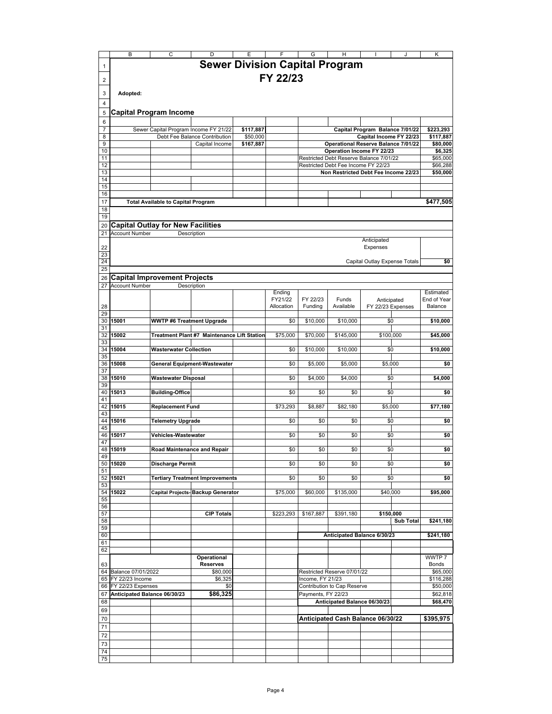|                                    | B                            | C                                         |                                             |           |                   | G                  | H                                                                              |                                  |                  | Κ                        |
|------------------------------------|------------------------------|-------------------------------------------|---------------------------------------------|-----------|-------------------|--------------------|--------------------------------------------------------------------------------|----------------------------------|------------------|--------------------------|
|                                    |                              |                                           | <b>Sewer Division Capital Program</b>       |           |                   |                    |                                                                                |                                  |                  |                          |
| 1                                  |                              |                                           |                                             |           |                   |                    |                                                                                |                                  |                  |                          |
| 2                                  |                              |                                           |                                             |           | FY 22/23          |                    |                                                                                |                                  |                  |                          |
|                                    |                              |                                           |                                             |           |                   |                    |                                                                                |                                  |                  |                          |
| 3                                  | Adopted:                     |                                           |                                             |           |                   |                    |                                                                                |                                  |                  |                          |
| 4                                  |                              |                                           |                                             |           |                   |                    |                                                                                |                                  |                  |                          |
| 5                                  |                              | <b>Capital Program Income</b>             |                                             |           |                   |                    |                                                                                |                                  |                  |                          |
| 6                                  |                              |                                           |                                             |           |                   |                    |                                                                                |                                  |                  |                          |
| $\overline{7}$                     |                              |                                           | Sewer Capital Program Income FY 21/22       | \$117,887 |                   |                    |                                                                                | Capital Program Balance 7/01/22  |                  | \$223,293                |
| 8                                  |                              |                                           | Debt Fee Balance Contribution               | \$50,000  |                   |                    |                                                                                | Capital Income FY 22/23          |                  | \$117,887                |
| 9                                  |                              |                                           | Capital Income                              | \$167,887 |                   |                    | Operational Reserve Balance 7/01/22                                            |                                  |                  | \$80,000                 |
| 10                                 |                              |                                           |                                             |           |                   |                    | Operation Income FY 22/23                                                      |                                  |                  | \$6,325                  |
| 11<br>12                           |                              |                                           |                                             |           |                   |                    | Restricted Debt Reserve Balance 7/01/22<br>Restricted Debt Fee Income FY 22/23 |                                  |                  | \$65,000<br>\$66,288     |
| 13                                 |                              |                                           |                                             |           |                   |                    | Non Restricted Debt Fee Income 22/23                                           |                                  |                  | \$50,000                 |
| 14                                 |                              |                                           |                                             |           |                   |                    |                                                                                |                                  |                  |                          |
| 15                                 |                              |                                           |                                             |           |                   |                    |                                                                                |                                  |                  |                          |
| 16                                 |                              |                                           |                                             |           |                   |                    |                                                                                |                                  |                  |                          |
| 17                                 |                              | <b>Total Available to Capital Program</b> |                                             |           |                   |                    |                                                                                |                                  |                  | \$477,505                |
| 18                                 |                              |                                           |                                             |           |                   |                    |                                                                                |                                  |                  |                          |
| 19                                 |                              |                                           |                                             |           |                   |                    |                                                                                |                                  |                  |                          |
| 20                                 |                              | Capital Outlay for New Facilities         |                                             |           |                   |                    |                                                                                |                                  |                  |                          |
| 21                                 | <b>Account Number</b>        |                                           | Description                                 |           |                   |                    |                                                                                | Anticipated                      |                  |                          |
| 22                                 |                              |                                           |                                             |           |                   |                    |                                                                                | Expenses                         |                  |                          |
| 23                                 |                              |                                           |                                             |           |                   |                    |                                                                                |                                  |                  |                          |
| 24                                 |                              |                                           |                                             |           |                   |                    |                                                                                | Capital Outlay Expense Totals    |                  | \$0                      |
| 25                                 |                              |                                           |                                             |           |                   |                    |                                                                                |                                  |                  |                          |
| 26                                 |                              | <b>Capital Improvement Projects</b>       |                                             |           |                   |                    |                                                                                |                                  |                  |                          |
| 27                                 | <b>Account Number</b>        |                                           | Description                                 |           |                   |                    |                                                                                |                                  |                  |                          |
|                                    |                              |                                           |                                             |           | Ending<br>FY21/22 | FY 22/23           | Funds                                                                          |                                  |                  | Estimated<br>End of Year |
| 28                                 |                              |                                           |                                             |           | Allocation        | Fundina            | Available                                                                      | Anticipated<br>FY 22/23 Expenses |                  | Balance                  |
| 29                                 |                              |                                           |                                             |           |                   |                    |                                                                                |                                  |                  |                          |
| 30                                 | 15001                        | <b>WWTP #6 Treatment Upgrade</b>          |                                             |           | \$0               | \$10,000           | \$10,000                                                                       | \$0                              |                  | \$10,000                 |
| 31                                 |                              |                                           |                                             |           |                   |                    |                                                                                |                                  |                  |                          |
| 32                                 | 15002                        |                                           | Treatment Plant #7 Maintenance Lift Station |           | \$75,000          | \$70,000           | \$145,000                                                                      | \$100,000                        |                  | \$45,000                 |
| 33<br>34                           | 15004                        | <b>Wasterwater Collection</b>             |                                             |           | \$0               | \$10,000           | \$10,000                                                                       | \$0                              |                  | \$10,000                 |
| 35                                 |                              |                                           |                                             |           |                   |                    |                                                                                |                                  |                  |                          |
| 36                                 | 15008                        |                                           | General Equipment-Wastewater                |           | \$0               | \$5,000            | \$5,000                                                                        | \$5,000                          |                  | \$0                      |
| 37                                 |                              |                                           |                                             |           |                   |                    |                                                                                |                                  |                  |                          |
| 38                                 | 15010                        | Wastewater Disposal                       |                                             |           | \$0               | \$4,000            | \$4,000                                                                        | \$0                              |                  | \$4,000                  |
| 39<br>40                           | 15013                        |                                           |                                             |           | \$0               | \$0                | \$0                                                                            |                                  |                  |                          |
| 41                                 |                              | <b>Building-Office</b>                    |                                             |           |                   |                    |                                                                                | \$0                              |                  | \$0                      |
| 42                                 | 15015                        | <b>Replacement Fund</b>                   |                                             |           | \$73.293          | \$8.887            | \$82,180                                                                       | \$5.000                          |                  | \$77,180                 |
| 43                                 |                              |                                           |                                             |           |                   |                    |                                                                                |                                  |                  |                          |
| 44                                 | 15016                        | Telemetry Upgrade                         |                                             |           | \$0               | \$0                | \$0                                                                            | \$0                              |                  | \$0                      |
| 45                                 |                              |                                           |                                             |           |                   |                    |                                                                                |                                  |                  |                          |
| 46<br>47                           | 15017                        | Vehicles-Wastewater                       |                                             |           | \$0               | \$0                | \$0                                                                            | \$0                              |                  | \$0                      |
| 48                                 | 15019                        | Road Maintenance and Repair               |                                             |           | \$0               | \$0                | \$0                                                                            | \$0                              |                  | \$0                      |
| 49                                 |                              |                                           |                                             |           |                   |                    |                                                                                |                                  |                  |                          |
|                                    | 50 15020                     | Discharge Permit                          |                                             |           | \$0               | \$0                | \$0                                                                            | \$0                              |                  | \$0                      |
| 51                                 |                              |                                           |                                             |           |                   |                    |                                                                                |                                  |                  |                          |
|                                    | 52 15021                     |                                           | <b>Tertiary Treatment Improvements</b>      |           | \$0               | \$0                | \$0                                                                            | \$0                              |                  | \$0                      |
| 53<br>54                           | 15022                        |                                           | Capital Projects- Backup Generator          |           | \$75,000          | \$60,000           | \$135,000                                                                      | \$40,000                         |                  | \$95,000                 |
| 55                                 |                              |                                           |                                             |           |                   |                    |                                                                                |                                  |                  |                          |
| 56                                 |                              |                                           |                                             |           |                   |                    |                                                                                |                                  |                  |                          |
| 57                                 |                              |                                           | <b>CIP Totals</b>                           |           | \$223,293         | \$167,887          | \$391,180                                                                      | \$150,000                        |                  |                          |
| 58                                 |                              |                                           |                                             |           |                   |                    |                                                                                |                                  | <b>Sub Total</b> | \$241,180                |
| 59                                 |                              |                                           |                                             |           |                   |                    |                                                                                |                                  |                  |                          |
| 60<br>61                           |                              |                                           |                                             |           |                   |                    | Anticipated Balance 6/30/23                                                    |                                  |                  | \$241,180                |
| 62                                 |                              |                                           |                                             |           |                   |                    |                                                                                |                                  |                  |                          |
|                                    |                              |                                           | Operational                                 |           |                   |                    |                                                                                |                                  |                  | WWTP 7                   |
| 63                                 |                              |                                           | <b>Reserves</b>                             |           |                   |                    |                                                                                |                                  |                  | <b>Bonds</b>             |
| 64                                 | Balance 07/01/2022           |                                           | \$80,000                                    |           |                   |                    | Restricted Reserve 07/01/22                                                    |                                  |                  | \$65,000                 |
| 65                                 | FY 22/23 Income              |                                           | \$6,325                                     |           |                   | Income, FY 21/23   |                                                                                |                                  |                  | \$116,288                |
| 66                                 | FY 22/23 Expenses            |                                           | \$0                                         |           |                   |                    | Contribution to Cap Reserve                                                    |                                  |                  | \$50,000                 |
| 67                                 | Anticipated Balance 06/30/23 |                                           | \$86,325                                    |           |                   | Payments, FY 22/23 |                                                                                |                                  |                  | \$62,818                 |
| Anticipated Balance 06/30/23<br>68 |                              |                                           |                                             |           |                   |                    |                                                                                |                                  |                  | \$68,470                 |
| 69                                 |                              |                                           |                                             |           |                   |                    |                                                                                |                                  |                  |                          |
| 70                                 |                              |                                           |                                             |           |                   |                    | Anticipated Cash Balance 06/30/22                                              |                                  |                  | \$395,975                |
| 71                                 |                              |                                           |                                             |           |                   |                    |                                                                                |                                  |                  |                          |
| 72                                 |                              |                                           |                                             |           |                   |                    |                                                                                |                                  |                  |                          |
| 73<br>74                           |                              |                                           |                                             |           |                   |                    |                                                                                |                                  |                  |                          |
| 75                                 |                              |                                           |                                             |           |                   |                    |                                                                                |                                  |                  |                          |
|                                    |                              |                                           |                                             |           |                   |                    |                                                                                |                                  |                  |                          |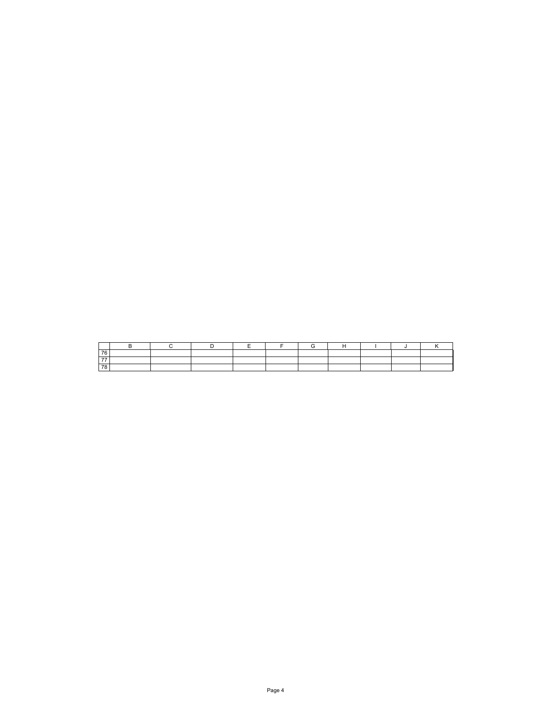| $\rightarrow$ |  |  |  |  |  |
|---------------|--|--|--|--|--|
| --            |  |  |  |  |  |
|               |  |  |  |  |  |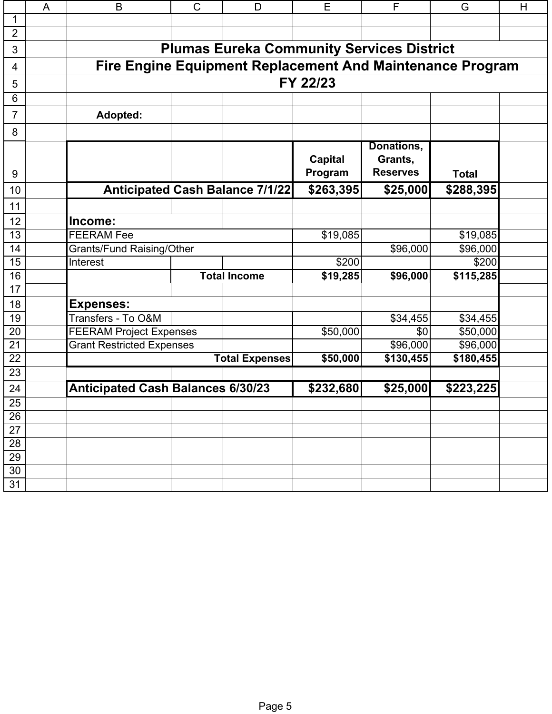|                 | A | B                                        | $\mathsf{C}$                                              | D                                      | E                         | F                                        | G            | H |  |  |  |  |  |  |
|-----------------|---|------------------------------------------|-----------------------------------------------------------|----------------------------------------|---------------------------|------------------------------------------|--------------|---|--|--|--|--|--|--|
| 1               |   |                                          |                                                           |                                        |                           |                                          |              |   |  |  |  |  |  |  |
| $\overline{2}$  |   |                                          |                                                           |                                        |                           |                                          |              |   |  |  |  |  |  |  |
| 3               |   |                                          | <b>Plumas Eureka Community Services District</b>          |                                        |                           |                                          |              |   |  |  |  |  |  |  |
| 4               |   |                                          | Fire Engine Equipment Replacement And Maintenance Program |                                        |                           |                                          |              |   |  |  |  |  |  |  |
| 5               |   |                                          |                                                           |                                        | FY 22/23                  |                                          |              |   |  |  |  |  |  |  |
| 6               |   |                                          |                                                           |                                        |                           |                                          |              |   |  |  |  |  |  |  |
| $\overline{7}$  |   | Adopted:                                 |                                                           |                                        |                           |                                          |              |   |  |  |  |  |  |  |
| 8               |   |                                          |                                                           |                                        |                           |                                          |              |   |  |  |  |  |  |  |
| 9               |   |                                          |                                                           |                                        | <b>Capital</b><br>Program | Donations,<br>Grants,<br><b>Reserves</b> | <b>Total</b> |   |  |  |  |  |  |  |
| 10              |   |                                          |                                                           | <b>Anticipated Cash Balance 7/1/22</b> | \$263,395                 | \$25,000                                 | \$288,395    |   |  |  |  |  |  |  |
| 11              |   |                                          |                                                           |                                        |                           |                                          |              |   |  |  |  |  |  |  |
| 12              |   | Income:                                  |                                                           |                                        |                           |                                          |              |   |  |  |  |  |  |  |
| 13              |   | <b>FEERAM Fee</b>                        |                                                           |                                        | \$19,085                  |                                          | \$19,085     |   |  |  |  |  |  |  |
| 14              |   | <b>Grants/Fund Raising/Other</b>         |                                                           |                                        |                           | \$96,000                                 | \$96,000     |   |  |  |  |  |  |  |
| 15              |   | Interest                                 |                                                           |                                        | \$200                     |                                          | \$200        |   |  |  |  |  |  |  |
| 16              |   |                                          |                                                           | <b>Total Income</b>                    | \$19,285                  | \$96,000                                 | \$115,285    |   |  |  |  |  |  |  |
| 17              |   |                                          |                                                           |                                        |                           |                                          |              |   |  |  |  |  |  |  |
| 18              |   | <b>Expenses:</b>                         |                                                           |                                        |                           |                                          |              |   |  |  |  |  |  |  |
| 19              |   | Transfers - To O&M                       |                                                           |                                        |                           | \$34,455                                 | \$34,455     |   |  |  |  |  |  |  |
| 20              |   | <b>FEERAM Project Expenses</b>           |                                                           |                                        | \$50,000                  | \$0                                      | \$50,000     |   |  |  |  |  |  |  |
| $\overline{21}$ |   | <b>Grant Restricted Expenses</b>         |                                                           |                                        |                           | \$96,000                                 | \$96,000     |   |  |  |  |  |  |  |
| $\overline{22}$ |   |                                          |                                                           | <b>Total Expenses</b>                  | \$50,000                  | \$130,455                                | \$180,455    |   |  |  |  |  |  |  |
| 23              |   |                                          |                                                           |                                        |                           |                                          |              |   |  |  |  |  |  |  |
| 24              |   | <b>Anticipated Cash Balances 6/30/23</b> |                                                           |                                        | \$232,680                 | \$25,000                                 | \$223,225    |   |  |  |  |  |  |  |
| 25              |   |                                          |                                                           |                                        |                           |                                          |              |   |  |  |  |  |  |  |
| 26              |   |                                          |                                                           |                                        |                           |                                          |              |   |  |  |  |  |  |  |
| 27              |   |                                          |                                                           |                                        |                           |                                          |              |   |  |  |  |  |  |  |
| 28              |   |                                          |                                                           |                                        |                           |                                          |              |   |  |  |  |  |  |  |
| 29              |   |                                          |                                                           |                                        |                           |                                          |              |   |  |  |  |  |  |  |
| 30              |   |                                          |                                                           |                                        |                           |                                          |              |   |  |  |  |  |  |  |
| 31              |   |                                          |                                                           |                                        |                           |                                          |              |   |  |  |  |  |  |  |